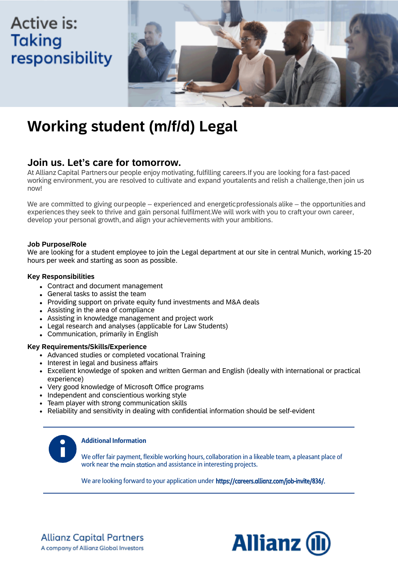# **Active is: Taking** responsibility



# **Working student (m/f/d) Legal**

### **Join us. Let's care for tomorrow.**

At Allianz Capital Partners our people enjoy motivating, fulfilling careers. If you are looking for a fast-paced working environment, you are resolved to cultivate and expand yourtalents and relish a challenge, then join us now!

We are committed to giving our people – experienced and energetic professionals alike – the opportunities and experiences they seek to thrive and gain personal fulfilment. We will work with you to craft your own career, develop your personal growth, and align your achievements with your ambitions.

#### **Job Purpose/Role**

We are looking for a student employee to join the Legal department at our site in central Munich, working 15-20 hours per week and starting as soon as possible.

#### **Key Responsibilities**

- Contract and document management
- General tasks to assist the team
- Providing support on private equity fund investments and M&A deals
- Assisting in the area of compliance
- Assisting in knowledge management and project work
- Legal research and analyses (applicable for Law Students)
- Communication, primarily in English

### **Key Requirements/Skills/Experience**

- Advanced studies or completed vocational Training
- Interest in legal and business affairs
- Excellent knowledge of spoken and written German and English (ideally with international or practical experience)
- Very good knowledge of Microsoft Office programs
- Independent and conscientious working style
- Team player with strong communication skills
- Reliability and sensitivity in dealing with confidential information should be self-evident



### **Additional Information**

We offer fair payment, flexible working hours, collaboration in a likeable team, a pleasant place of work near the main station and assistance in interesting projects.

We are looking forward to your application under https://careers.allianz.com/job-invite/836/.



**Allianz Capital Partners** A company of Allianz Global Investors